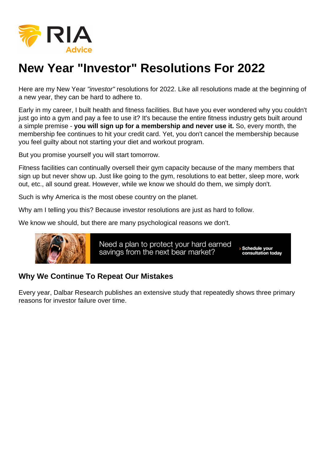## New Year "Investor" Resolutions For 2022

Here are my New Year "investor" resolutions for 2022. Like all resolutions made at the beginning of a new year, they can be hard to adhere to.

Early in my career, I built health and fitness facilities. But have you ever wondered why you couldn't just go into a gym and pay a fee to use it? It's because the entire fitness industry gets built around a simple premise - you will sign up for a membership and never use it. So, every month, the membership fee continues to hit your credit card. Yet, you don't cancel the membership because you feel guilty about not starting your diet and workout program.

But you promise yourself you will start tomorrow.

Fitness facilities can continually oversell their gym capacity because of the many members that sign up but never show up. Just like going to the gym, resolutions to eat better, sleep more, work out, etc., all sound great. However, while we know we should do them, we simply don't.

Such is why America is the most obese country on the planet.

Why am I telling you this? Because investor resolutions are just as hard to follow.

We know we should, but there are many psychological reasons we don't.

Why We Continue To Repeat Our Mistakes

Every year, Dalbar Research publishes an extensive study that repeatedly shows three primary reasons for investor failure over time.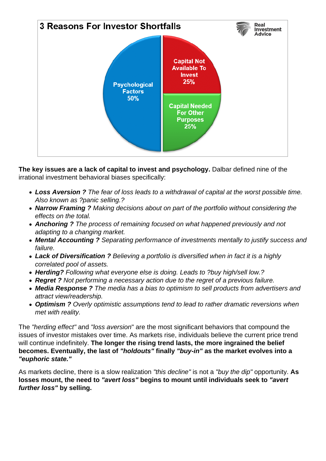

**The key issues are a lack of capital to invest and psychology.** Dalbar defined nine of the irrational investment behavioral biases specifically:

- **Loss Aversion ?** The fear of loss leads to a withdrawal of capital at the worst possible time. Also known as ?panic selling.?
- **Narrow Framing ?** Making decisions about on part of the portfolio without considering the effects on the total.
- **Anchoring ?** The process of remaining focused on what happened previously and not adapting to a changing market.
- **Mental Accounting ?** Separating performance of investments mentally to justify success and failure.
- **Lack of Diversification ?** Believing a portfolio is diversified when in fact it is a highly correlated pool of assets.
- **Herding?** Following what everyone else is doing. Leads to ?buy high/sell low.?
- **Regret ?** Not performing a necessary action due to the regret of a previous failure.
- **Media Response ?** The media has a bias to optimism to sell products from advertisers and attract view/readership.
- **Optimism ?** Overly optimistic assumptions tend to lead to rather dramatic reversions when met with reality.

The "herding effect" and "loss aversion" are the most significant behaviors that compound the issues of investor mistakes over time. As markets rise, individuals believe the current price trend will continue indefinitely. **The longer the rising trend lasts, the more ingrained the belief becomes. Eventually, the last of "holdouts" finally "buy-in" as the market evolves into a "euphoric state."**

As markets decline, there is a slow realization "this decline" is not a "buy the dip" opportunity. **As losses mount, the need to "avert loss" begins to mount until individuals seek to "avert further loss" by selling.**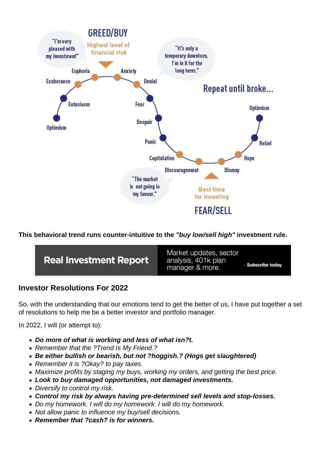This behavioral trend runs counter-intuitive to the "buy low/sell high" investment rule.

Investor Resolutions For 2022

So, with the understanding that our emotions tend to get the better of us, I have put together a set of resolutions to help me be a better investor and portfolio manager.

In 2022, I will (or attempt to):

- Do more of what is working and less of what isn?t.
- Remember that the ?Trend Is My Friend.?
- Be either bullish or bearish, but not ?hoggish.? (Hogs get slaughtered)
- Remember it is ?Okay? to pay taxes.
- Maximize profits by staging my buys, working my orders, and getting the best price.
- Look to buy damaged opportunities, not damaged investments.
- Diversify to control my risk.
- Control my risk by always having pre-determined sell levels and stop-losses.
- Do my homework. I will do my homework. I will do my homework.
- Not allow panic to influence my buy/sell decisions.
- Remember that ?cash? is for winners.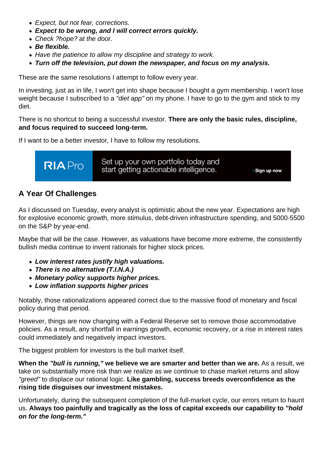- Expect, but not fear, corrections.
- Expect to be wrong, and I will correct errors quickly.
- Check ?hope? at the door.
- Be flexible.
- Have the patience to allow my discipline and strategy to work.
- Turn off the television, put down the newspaper, and focus on my analysis.

These are the same resolutions I attempt to follow every year.

In investing, just as in life, I won't get into shape because I bought a gym membership. I won't lose weight because I subscribed to a "diet app" on my phone. I have to go to the gym and stick to my diet.

There is no shortcut to being a successful investor. There are only the basic rules, discipline, and focus required to succeed long-term.

If I want to be a better investor, I have to follow my resolutions.

## A Year Of Challenges

As I discussed on Tuesday, every analyst is optimistic about the new year. Expectations are high for explosive economic growth, more stimulus, debt-driven infrastructure spending, and 5000-5500 on the S&P by year-end.

Maybe that will be the case. However, as valuations have become more extreme, the consistently bullish media continue to invent rationals for higher stock prices.

- Low interest rates justify high valuations.
- There is no alternative (T.I.N.A.)
- Monetary policy supports higher prices.
- Low inflation supports higher prices

Notably, those rationalizations appeared correct due to the massive flood of monetary and fiscal policy during that period.

However, things are now changing with a Federal Reserve set to remove those accommodative policies. As a result, any shortfall in earnings growth, economic recovery, or a rise in interest rates could immediately and negatively impact investors.

The biggest problem for investors is the bull market itself.

When the "bull is running." we believe we are smarter and better than we are. As a result, we take on substantially more risk than we realize as we continue to chase market returns and allow "greed" to displace our rational logic. Like gambling, success breeds overconfidence as the rising tide disguises our investment mistakes.

Unfortunately, during the subsequent completion of the full-market cycle, our errors return to haunt us. Always too painfully and tragically as the loss of capital exceeds our capability to "hold on for the long-term."